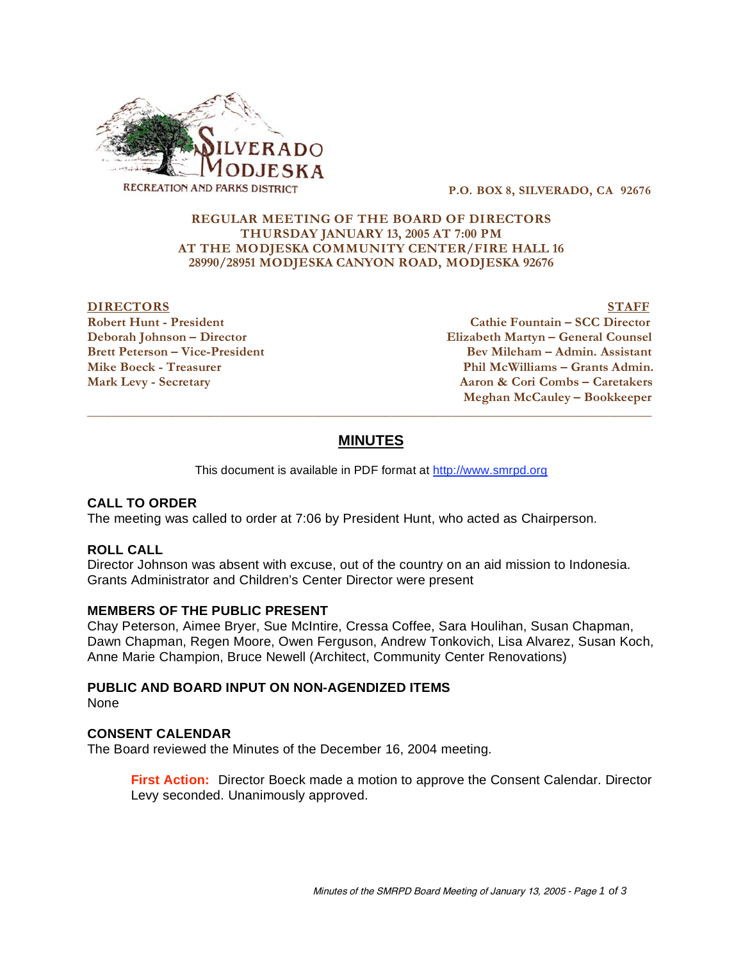

 **P.O. BOX 8, SILVERADO, CA 92676** 

### **REGULAR MEETING OF THE BOARD OF DIRECTORS THURSDAY JANUARY 13, 2005 AT 7:00 PM AT THE MODJESKA COMMUNITY CENTER/FIRE HALL 16 28990/28951 MODJESKA CANYON ROAD, MODJESKA 92676**

### **DIRECTORS** STAFF

**Robert Hunt - President Cathie Fountain – SCC Director Deborah Johnson – Director Elizabeth Martyn – General Counsel Bev Mileham – Admin. Assistant** Mike Boeck - Treasurer **Phil McWilliams – Grants Admin. Mark Levy - Secretary Aaron & Cori Combs – Caretakers Meghan McCauley – Bookkeeper** 

# **MINUTES**

 $\overline{a}$  , and the state of the state of the state of the state of the state of the state of the state of the state of the state of the state of the state of the state of the state of the state of the state of the state o

This document is available in PDF format at http://www.smrpd.org

### **CALL TO ORDER**

The meeting was called to order at 7:06 by President Hunt, who acted as Chairperson.

#### **ROLL CALL**

Director Johnson was absent with excuse, out of the country on an aid mission to Indonesia. Grants Administrator and Children's Center Director were present

#### **MEMBERS OF THE PUBLIC PRESENT**

Chay Peterson, Aimee Bryer, Sue McIntire, Cressa Coffee, Sara Houlihan, Susan Chapman, Dawn Chapman, Regen Moore, Owen Ferguson, Andrew Tonkovich, Lisa Alvarez, Susan Koch, Anne Marie Champion, Bruce Newell (Architect, Community Center Renovations)

# **PUBLIC AND BOARD INPUT ON NON-AGENDIZED ITEMS**

None

### **CONSENT CALENDAR**

The Board reviewed the Minutes of the December 16, 2004 meeting.

**First Action:** Director Boeck made a motion to approve the Consent Calendar. Director Levy seconded. Unanimously approved.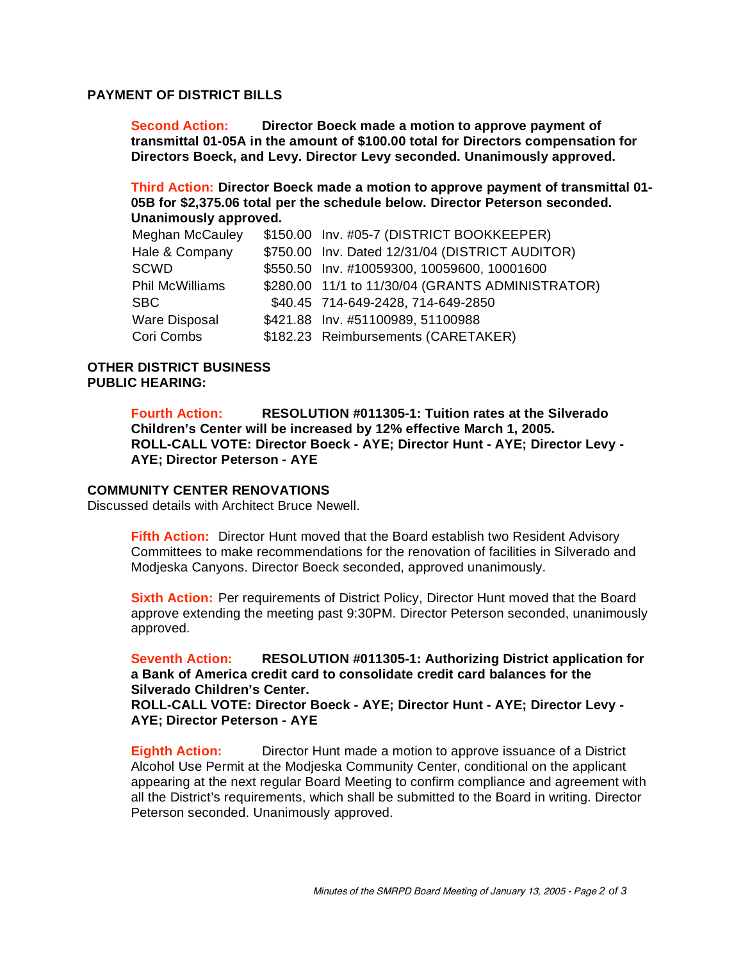# **PAYMENT OF DISTRICT BILLS**

**Second Action: Director Boeck made a motion to approve payment of transmittal 01-05A in the amount of \$100.00 total for Directors compensation for Directors Boeck, and Levy. Director Levy seconded. Unanimously approved.** 

**Third Action: Director Boeck made a motion to approve payment of transmittal 01- 05B for \$2,375.06 total per the schedule below. Director Peterson seconded. Unanimously approved.** 

| Meghan McCauley | \$150.00 Inv. #05-7 (DISTRICT BOOKKEEPER)        |
|-----------------|--------------------------------------------------|
| Hale & Company  | \$750.00 Inv. Dated 12/31/04 (DISTRICT AUDITOR)  |
| SCWD            | \$550.50 Inv. #10059300, 10059600, 10001600      |
| Phil McWilliams | \$280.00 11/1 to 11/30/04 (GRANTS ADMINISTRATOR) |
| SBC             | \$40.45 714-649-2428, 714-649-2850               |
| Ware Disposal   | \$421.88 Inv. #51100989, 51100988                |
| Cori Combs      | \$182.23 Reimbursements (CARETAKER)              |

# **OTHER DISTRICT BUSINESS PUBLIC HEARING:**

**Fourth Action: RESOLUTION #011305-1: Tuition rates at the Silverado Children's Center will be increased by 12% effective March 1, 2005. ROLL-CALL VOTE: Director Boeck - AYE; Director Hunt - AYE; Director Levy - AYE; Director Peterson - AYE**

#### **COMMUNITY CENTER RENOVATIONS**

Discussed details with Architect Bruce Newell.

**Fifth Action:** Director Hunt moved that the Board establish two Resident Advisory Committees to make recommendations for the renovation of facilities in Silverado and Modjeska Canyons. Director Boeck seconded, approved unanimously.

**Sixth Action:** Per requirements of District Policy, Director Hunt moved that the Board approve extending the meeting past 9:30PM. Director Peterson seconded, unanimously approved.

**Seventh Action: RESOLUTION #011305-1: Authorizing District application for a Bank of America credit card to consolidate credit card balances for the Silverado Children's Center.** 

**ROLL-CALL VOTE: Director Boeck - AYE; Director Hunt - AYE; Director Levy - AYE; Director Peterson - AYE**

**Eighth Action:** Director Hunt made a motion to approve issuance of a District Alcohol Use Permit at the Modjeska Community Center, conditional on the applicant appearing at the next regular Board Meeting to confirm compliance and agreement with all the District's requirements, which shall be submitted to the Board in writing. Director Peterson seconded. Unanimously approved.